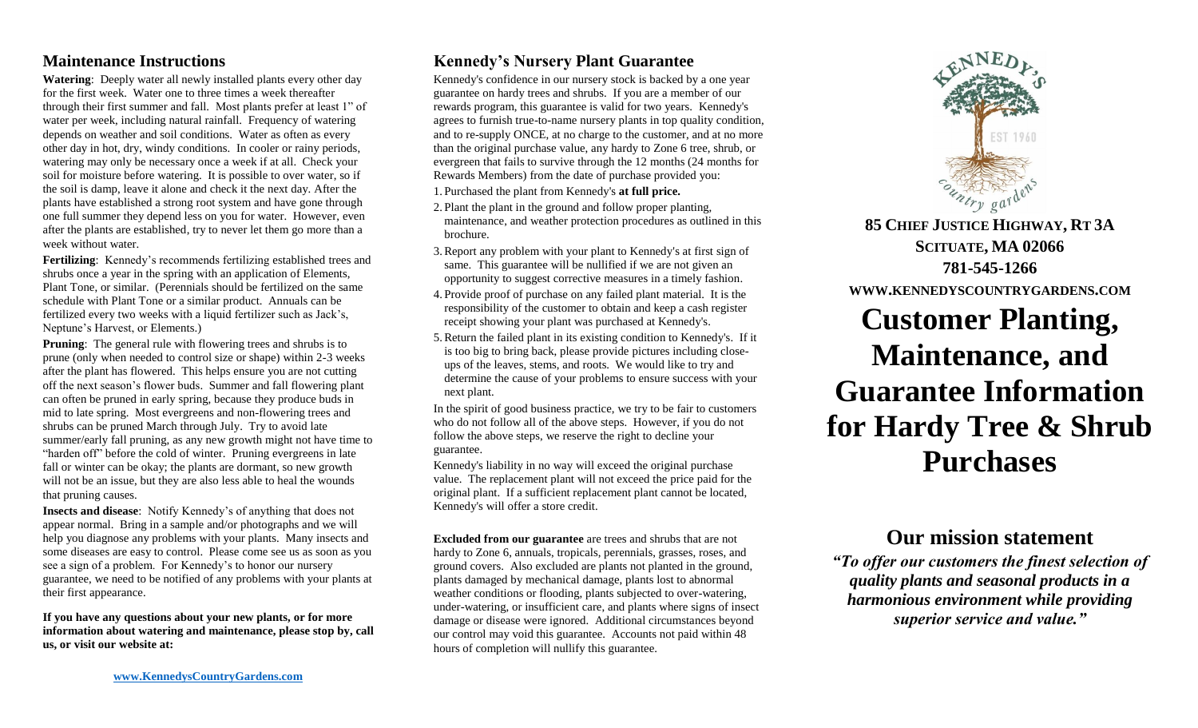## **Maintenance Instructions**

**Watering**: Deeply water all newly installed plants every other day for the first week. Water one to three times a week thereafter through their first summer and fall. Most plants prefer at least 1" of water per week, including natural rainfall. Frequency of watering depends on weather and soil conditions. Water as often as every other day in hot, dry, windy conditions. In cooler or rainy periods, watering may only be necessary once a week if at all. Check your soil for moisture before watering. It is possible to over water, so if the soil is damp, leave it alone and check it the next day. After the plants have established a strong root system and have gone through one full summer they depend less on you for water. However, even after the plants are established, try to never let them go more than a week without water.

**Fertilizing**: Kennedy's recommends fertilizing established trees and shrubs once a year in the spring with an application of Elements, Plant Tone, or similar. (Perennials should be fertilized on the same schedule with Plant Tone or a similar product. Annuals can be fertilized every two weeks with a liquid fertilizer such as Jack's, Neptune's Harvest, or Elements.)

**Pruning**: The general rule with flowering trees and shrubs is to prune (only when needed to control size or shape) within 2-3 weeks after the plant has flowered. This helps ensure you are not cutting off the next season's flower buds. Summer and fall flowering plant can often be pruned in early spring, because they produce buds in mid to late spring. Most evergreens and non-flowering trees and shrubs can be pruned March through July. Try to avoid late summer/early fall pruning, as any new growth might not have time to "harden off" before the cold of winter. Pruning evergreens in late fall or winter can be okay; the plants are dormant, so new growth will not be an issue, but they are also less able to heal the wounds that pruning causes.

**Insects and disease**: Notify Kennedy's of anything that does not appear normal. Bring in a sample and/or photographs and we will help you diagnose any problems with your plants. Many insects and some diseases are easy to control. Please come see us as soon as you see a sign of a problem. For Kennedy's to honor our nursery guarantee, we need to be notified of any problems with your plants at their first appearance.

**If you have any questions about your new plants, or for more information about watering and maintenance, please stop by, call us, or visit our website at:**

## **Kennedy's Nursery Plant Guarantee**

Kennedy's confidence in our nursery stock is backed by a one year guarantee on hardy trees and shrubs. If you are a member of our rewards program, this guarantee is valid for two years. Kennedy's agrees to furnish true-to-name nursery plants in top quality condition, and to re-supply ONCE, at no charge to the customer, and at no more than the original purchase value, any hardy to Zone 6 tree, shrub, or evergreen that fails to survive through the 12 months (24 months for Rewards Members) from the date of purchase provided you:

1. Purchased the plant from Kennedy's **at full price.**

- 2. Plant the plant in the ground and follow proper planting, maintenance, and weather protection procedures as outlined in this brochure.
- 3.Report any problem with your plant to Kennedy's at first sign of same. This guarantee will be nullified if we are not given an opportunity to suggest corrective measures in a timely fashion.
- 4. Provide proof of purchase on any failed plant material. It is the responsibility of the customer to obtain and keep a cash register receipt showing your plant was purchased at Kennedy's.
- 5.Return the failed plant in its existing condition to Kennedy's. If it is too big to bring back, please provide pictures including closeups of the leaves, stems, and roots. We would like to try and determine the cause of your problems to ensure success with your next plant.

In the spirit of good business practice, we try to be fair to customers who do not follow all of the above steps. However, if you do not follow the above steps, we reserve the right to decline your guarantee.

Kennedy's liability in no way will exceed the original purchase value. The replacement plant will not exceed the price paid for the original plant. If a sufficient replacement plant cannot be located, Kennedy's will offer a store credit.

**Excluded from our guarantee** are trees and shrubs that are not hardy to Zone 6, annuals, tropicals, perennials, grasses, roses, and ground covers. Also excluded are plants not planted in the ground, plants damaged by mechanical damage, plants lost to abnormal weather conditions or flooding, plants subjected to over-watering, under-watering, or insufficient care, and plants where signs of insect damage or disease were ignored. Additional circumstances beyond our control may void this guarantee. Accounts not paid within 48 hours of completion will nullify this guarantee.



**85 CHIEF JUSTICE HIGHWAY, RT 3A SCITUATE, MA 02066 781-545-1266 WWW.KENNEDYSCOUNTRYGARDENS.COM Customer Planting, Maintenance, and Guarantee Information for Hardy Tree & Shrub Purchases**

## **Our mission statement**

*"To offer our customers the finest selection of quality plants and seasonal products in a harmonious environment while providing superior service and value."*